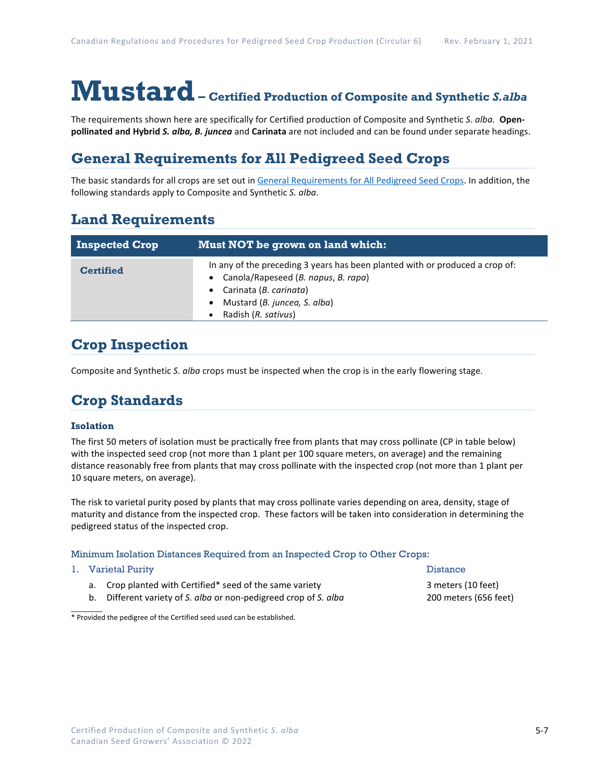# **Mustard– Certified Production of Composite and Synthetic** *S.alba*

The requirements shown here are specifically for Certified production of Composite and Synthetic *S. alba.* **Openpollinated and Hybrid** *S. alba, B. juncea* and **Carinata** are not included and can be found under separate headings.

# **General Requirements for All Pedigreed Seed Crops**

The basic standards for all crops are set out i[n General Requirements for All Pedigreed Seed](https://seedgrowers.ca/wp-content/uploads/2020/01/GENERAL-REQUIREMENTS-ALL-CROPS_EN.pdf) Crops. In addition, the following standards apply to Composite and Synthetic *S. alba*.

## **Land Requirements**

| <b>Inspected Crop</b> | Must NOT be grown on land which:                                                                                                                                                                     |  |  |  |  |
|-----------------------|------------------------------------------------------------------------------------------------------------------------------------------------------------------------------------------------------|--|--|--|--|
| <b>Certified</b>      | In any of the preceding 3 years has been planted with or produced a crop of:<br>Canola/Rapeseed (B. napus, B. rapa)<br>Carinata (B. carinata)<br>Mustard (B. juncea, S. alba)<br>Radish (R. sativus) |  |  |  |  |

# **Crop Inspection**

Composite and Synthetic *S. alba* crops must be inspected when the crop is in the early flowering stage.

# **Crop Standards**

### **Isolation**

The first 50 meters of isolation must be practically free from plants that may cross pollinate (CP in table below) with the inspected seed crop (not more than 1 plant per 100 square meters, on average) and the remaining distance reasonably free from plants that may cross pollinate with the inspected crop (not more than 1 plant per 10 square meters, on average).

The risk to varietal purity posed by plants that may cross pollinate varies depending on area, density, stage of maturity and distance from the inspected crop. These factors will be taken into consideration in determining the pedigreed status of the inspected crop.

#### Minimum Isolation Distances Required from an Inspected Crop to Other Crops:

#### 1. Varietal Purity **Distance**

 $\overline{\phantom{a}}$ 

- a. Crop planted with Certified\* seed of the same variety **3** meters (10 feet)
- b. Different variety of *S. alba* or non-pedigreed crop of *S. alba* 200 meters (656 feet)

\* Provided the pedigree of the Certified seed used can be established.